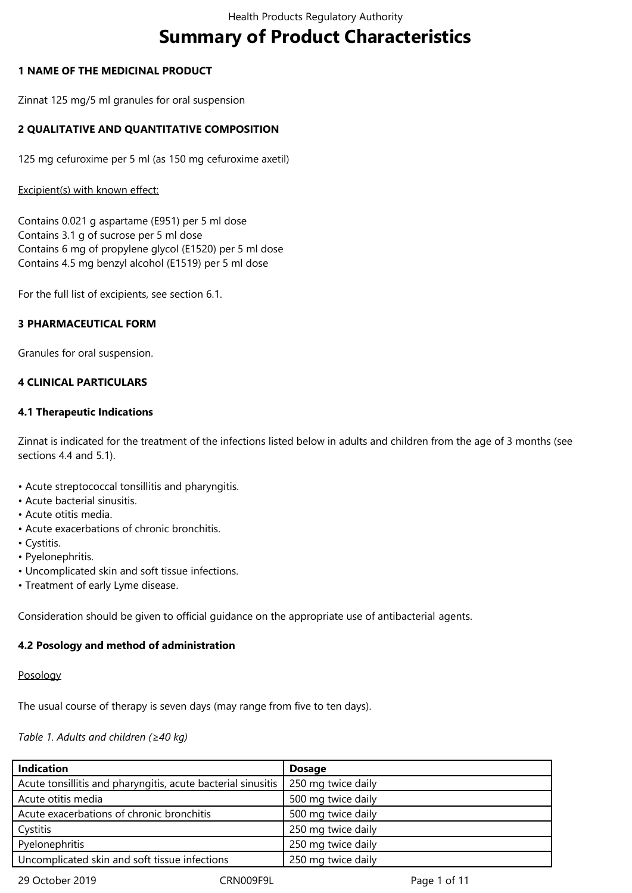# **Summary of Product Characteristics**

## **1 NAME OF THE MEDICINAL PRODUCT**

Zinnat 125 mg/5 ml granules for oral suspension

## **2 QUALITATIVE AND QUANTITATIVE COMPOSITION**

125 mg cefuroxime per 5 ml (as 150 mg cefuroxime axetil)

#### Excipient(s) with known effect:

Contains 0.021 g aspartame (E951) per 5 ml dose Contains 3.1 g of sucrose per 5 ml dose Contains 6 mg of propylene glycol (E1520) per 5 ml dose Contains 4.5 mg benzyl alcohol (E1519) per 5 ml dose

For the full list of excipients, see section 6.1.

## **3 PHARMACEUTICAL FORM**

Granules for oral suspension.

## **4 CLINICAL PARTICULARS**

## **4.1 Therapeutic Indications**

Zinnat is indicated for the treatment of the infections listed below in adults and children from the age of 3 months (see sections 4.4 and 5.1).

- Acute streptococcal tonsillitis and pharyngitis.
- Acute bacterial sinusitis.
- Acute otitis media.
- Acute exacerbations of chronic bronchitis.
- Cystitis.
- Pyelonephritis.
- Uncomplicated skin and soft tissue infections.
- Treatment of early Lyme disease.

Consideration should be given to official guidance on the appropriate use of antibacterial agents.

## **4.2 Posology and method of administration**

#### Posology

The usual course of therapy is seven days (may range from five to ten days).

#### *Table 1. Adults and children (≥40 kg)*

| <b>Indication</b>                                            | <b>Dosage</b>      |
|--------------------------------------------------------------|--------------------|
| Acute tonsillitis and pharyngitis, acute bacterial sinusitis | 250 mg twice daily |
| Acute otitis media                                           | 500 mg twice daily |
| Acute exacerbations of chronic bronchitis                    | 500 mg twice daily |
| Cystitis                                                     | 250 mg twice daily |
| Pyelonephritis                                               | 250 mg twice daily |
| Uncomplicated skin and soft tissue infections                | 250 mg twice daily |
|                                                              |                    |

29 October 2019 CRN009F9L Page 1 of 11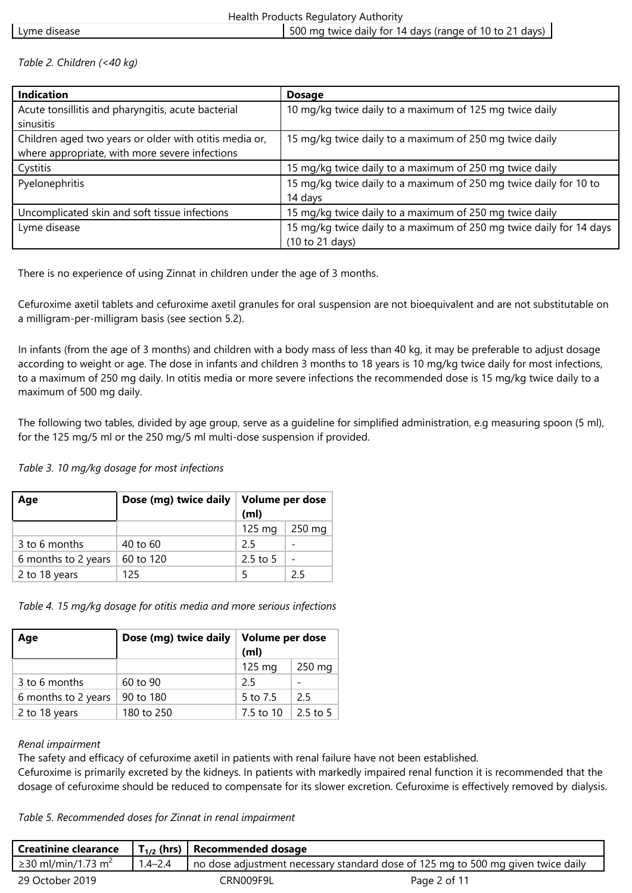## *Table 2. Children (<40 kg)*

| <b>Indication</b>                                      | <b>Dosage</b>                                                       |
|--------------------------------------------------------|---------------------------------------------------------------------|
| Acute tonsillitis and pharyngitis, acute bacterial     | 10 mg/kg twice daily to a maximum of 125 mg twice daily             |
| sinusitis                                              |                                                                     |
| Children aged two years or older with otitis media or, | 15 mg/kg twice daily to a maximum of 250 mg twice daily             |
| where appropriate, with more severe infections         |                                                                     |
| Cystitis                                               | 15 mg/kg twice daily to a maximum of 250 mg twice daily             |
| Pyelonephritis                                         | 15 mg/kg twice daily to a maximum of 250 mg twice daily for 10 to   |
|                                                        | 14 days                                                             |
| Uncomplicated skin and soft tissue infections          | 15 mg/kg twice daily to a maximum of 250 mg twice daily             |
| Lyme disease                                           | 15 mg/kg twice daily to a maximum of 250 mg twice daily for 14 days |
|                                                        | (10 to 21 days)                                                     |

There is no experience of using Zinnat in children under the age of 3 months.

Cefuroxime axetil tablets and cefuroxime axetil granules for oral suspension are not bioequivalent and are not substitutable on a milligram-per-milligram basis (see section 5.2).

In infants (from the age of 3 months) and children with a body mass of less than 40 kg, it may be preferable to adjust dosage according to weight or age. The dose in infants and children 3 months to 18 years is 10 mg/kg twice daily for most infections, to a maximum of 250 mg daily. In otitis media or more severe infections the recommended dose is 15 mg/kg twice daily to a maximum of 500 mg daily.

The following two tables, divided by age group, serve as a guideline for simplified administration, e.g measuring spoon (5 ml), for the 125 mg/5 ml or the 250 mg/5 ml multi-dose suspension if provided.

## *Table 3. 10 mg/kg dosage for most infections*

| Age                 | Dose (mg) twice daily | Volume per dose<br>(m <sub>l</sub> ) |        |
|---------------------|-----------------------|--------------------------------------|--------|
|                     |                       | $125 \text{ mg}$                     | 250 mg |
| 3 to 6 months       | 40 to 60              | 25                                   |        |
| 6 months to 2 years | 60 to 120             | $2.5$ to 5                           |        |
| 2 to 18 years       | 125                   |                                      | 25     |

*Table 4. 15 mg/kg dosage for otitis media and more serious infections*

| Age                 | Dose (mg) twice daily | Volume per dose<br>(m <sub>l</sub> ) |            |
|---------------------|-----------------------|--------------------------------------|------------|
|                     |                       | 125 mg                               | 250 mg     |
| 3 to 6 months       | 60 to 90              | 25                                   |            |
| 6 months to 2 years | 90 to 180             | 5 to 7.5                             | 25         |
| 2 to 18 years       | 180 to 250            | 7.5 to 10                            | $2.5$ to 5 |

## *Renal impairment*

The safety and efficacy of cefuroxime axetil in patients with renal failure have not been established.

Cefuroxime is primarily excreted by the kidneys. In patients with markedly impaired renal function it is recommended that the dosage of cefuroxime should be reduced to compensate for its slower excretion. Cefuroxime is effectively removed by dialysis.

*Table 5. Recommended doses for Zinnat in renal impairment*

| <b>Creatinine clearance</b>    |             | $\mathsf{T}_{1/2}$ (hrs)   Recommended dosage |                                                                                        |
|--------------------------------|-------------|-----------------------------------------------|----------------------------------------------------------------------------------------|
| ≥30 ml/min/1.73 m <sup>2</sup> | $1.4 - 2.4$ |                                               | $\mu$ no dose adjustment necessary standard dose of 125 mg to 500 mg given twice daily |
| 29 October 2019                |             | CRN009F9L                                     | Page 2 of 11                                                                           |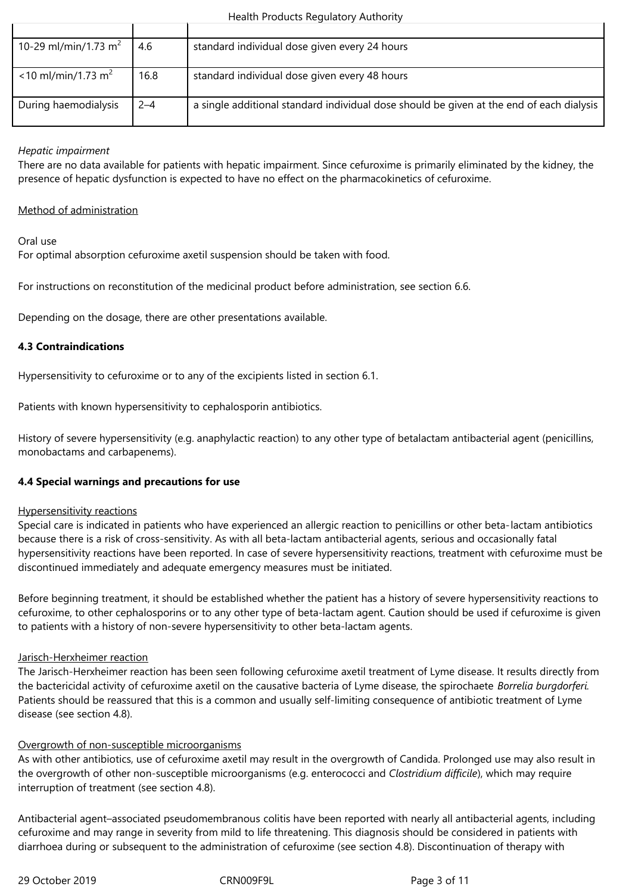| 10-29 ml/min/1.73 m <sup>2</sup>  | 4.6     | standard individual dose given every 24 hours                                            |
|-----------------------------------|---------|------------------------------------------------------------------------------------------|
|                                   |         |                                                                                          |
| $<$ 10 ml/min/1.73 m <sup>2</sup> | 16.8    | standard individual dose given every 48 hours                                            |
| During haemodialysis              | $2 - 4$ | a single additional standard individual dose should be given at the end of each dialysis |

## *Hepatic impairment*

There are no data available for patients with hepatic impairment. Since cefuroxime is primarily eliminated by the kidney, the presence of hepatic dysfunction is expected to have no effect on the pharmacokinetics of cefuroxime.

### Method of administration

Oral use

For optimal absorption cefuroxime axetil suspension should be taken with food.

For instructions on reconstitution of the medicinal product before administration, see section 6.6.

Depending on the dosage, there are other presentations available.

## **4.3 Contraindications**

Hypersensitivity to cefuroxime or to any of the excipients listed in section 6.1.

Patients with known hypersensitivity to cephalosporin antibiotics.

History of severe hypersensitivity (e.g. anaphylactic reaction) to any other type of betalactam antibacterial agent (penicillins, monobactams and carbapenems).

## **4.4 Special warnings and precautions for use**

#### Hypersensitivity reactions

Special care is indicated in patients who have experienced an allergic reaction to penicillins or other beta-lactam antibiotics because there is a risk of cross-sensitivity. As with all beta-lactam antibacterial agents, serious and occasionally fatal hypersensitivity reactions have been reported. In case of severe hypersensitivity reactions, treatment with cefuroxime must be discontinued immediately and adequate emergency measures must be initiated.

Before beginning treatment, it should be established whether the patient has a history of severe hypersensitivity reactions to cefuroxime, to other cephalosporins or to any other type of beta-lactam agent. Caution should be used if cefuroxime is given to patients with a history of non-severe hypersensitivity to other beta-lactam agents.

#### Jarisch-Herxheimer reaction

The Jarisch-Herxheimer reaction has been seen following cefuroxime axetil treatment of Lyme disease. It results directly from the bactericidal activity of cefuroxime axetil on the causative bacteria of Lyme disease, the spirochaete *Borrelia burgdorferi.*  Patients should be reassured that this is a common and usually self-limiting consequence of antibiotic treatment of Lyme disease (see section 4.8).

## Overgrowth of non-susceptible microorganisms

As with other antibiotics, use of cefuroxime axetil may result in the overgrowth of Candida. Prolonged use may also result in the overgrowth of other non-susceptible microorganisms (e.g. enterococci and *Clostridium difficile*), which may require interruption of treatment (see section 4.8).

Antibacterial agent–associated pseudomembranous colitis have been reported with nearly all antibacterial agents, including cefuroxime and may range in severity from mild to life threatening. This diagnosis should be considered in patients with diarrhoea during or subsequent to the administration of cefuroxime (see section 4.8). Discontinuation of therapy with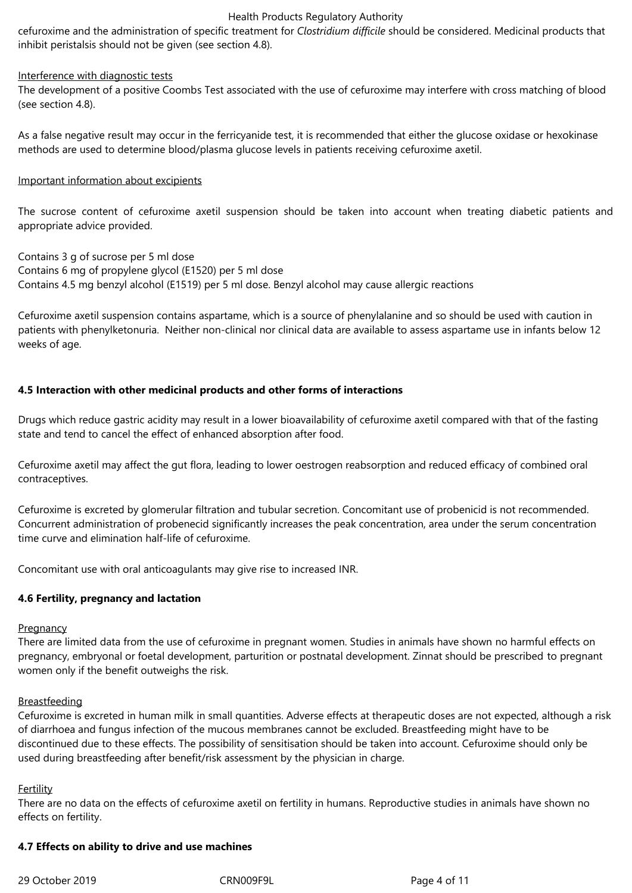cefuroxime and the administration of specific treatment for *Clostridium difficile* should be considered. Medicinal products that inhibit peristalsis should not be given (see section 4.8).

#### Interference with diagnostic tests

The development of a positive Coombs Test associated with the use of cefuroxime may interfere with cross matching of blood (see section 4.8).

As a false negative result may occur in the ferricyanide test, it is recommended that either the glucose oxidase or hexokinase methods are used to determine blood/plasma glucose levels in patients receiving cefuroxime axetil.

#### Important information about excipients

The sucrose content of cefuroxime axetil suspension should be taken into account when treating diabetic patients and appropriate advice provided.

Contains 3 g of sucrose per 5 ml dose Contains 6 mg of propylene glycol (E1520) per 5 ml dose Contains 4.5 mg benzyl alcohol (E1519) per 5 ml dose. Benzyl alcohol may cause allergic reactions

Cefuroxime axetil suspension contains aspartame, which is a source of phenylalanine and so should be used with caution in patients with phenylketonuria. Neither non-clinical nor clinical data are available to assess aspartame use in infants below 12 weeks of age.

#### **4.5 Interaction with other medicinal products and other forms of interactions**

Drugs which reduce gastric acidity may result in a lower bioavailability of cefuroxime axetil compared with that of the fasting state and tend to cancel the effect of enhanced absorption after food.

Cefuroxime axetil may affect the gut flora, leading to lower oestrogen reabsorption and reduced efficacy of combined oral contraceptives.

Cefuroxime is excreted by glomerular filtration and tubular secretion. Concomitant use of probenicid is not recommended. Concurrent administration of probenecid significantly increases the peak concentration, area under the serum concentration time curve and elimination half-life of cefuroxime.

Concomitant use with oral anticoagulants may give rise to increased INR.

#### **4.6 Fertility, pregnancy and lactation**

#### **Pregnancy**

There are limited data from the use of cefuroxime in pregnant women. Studies in animals have shown no harmful effects on pregnancy, embryonal or foetal development, parturition or postnatal development. Zinnat should be prescribed to pregnant women only if the benefit outweighs the risk.

#### **Breastfeeding**

Cefuroxime is excreted in human milk in small quantities. Adverse effects at therapeutic doses are not expected, although a risk of diarrhoea and fungus infection of the mucous membranes cannot be excluded. Breastfeeding might have to be discontinued due to these effects. The possibility of sensitisation should be taken into account. Cefuroxime should only be used during breastfeeding after benefit/risk assessment by the physician in charge.

#### Fertility

There are no data on the effects of cefuroxime axetil on fertility in humans. Reproductive studies in animals have shown no effects on fertility.

#### **4.7 Effects on ability to drive and use machines**

29 October 2019 CRN009F9L Page 4 of 11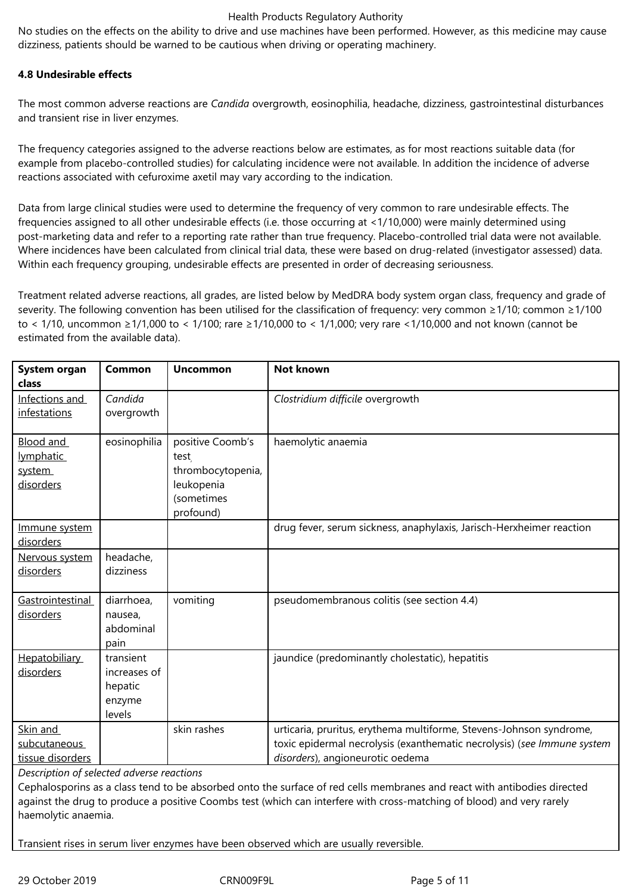No studies on the effects on the ability to drive and use machines have been performed. However, as this medicine may cause dizziness, patients should be warned to be cautious when driving or operating machinery.

## **4.8 Undesirable effects**

The most common adverse reactions are *Candida* overgrowth, eosinophilia, headache, dizziness, gastrointestinal disturbances and transient rise in liver enzymes.

The frequency categories assigned to the adverse reactions below are estimates, as for most reactions suitable data (for example from placebo-controlled studies) for calculating incidence were not available. In addition the incidence of adverse reactions associated with cefuroxime axetil may vary according to the indication.

Data from large clinical studies were used to determine the frequency of very common to rare undesirable effects. The frequencies assigned to all other undesirable effects (i.e. those occurring at <1/10,000) were mainly determined using post-marketing data and refer to a reporting rate rather than true frequency. Placebo-controlled trial data were not available. Where incidences have been calculated from clinical trial data, these were based on drug-related (investigator assessed) data. Within each frequency grouping, undesirable effects are presented in order of decreasing seriousness.

Treatment related adverse reactions, all grades, are listed below by MedDRA body system organ class, frequency and grade of severity. The following convention has been utilised for the classification of frequency: very common ≥1/10; common ≥1/100 to < 1/10, uncommon ≥1/1,000 to < 1/100; rare ≥1/10,000 to < 1/1,000; very rare <1/10,000 and not known (cannot be estimated from the available data).

| System organ<br>class                         | Common                                                   | <b>Uncommon</b>                                                                        | <b>Not known</b>                                                                                                                                                                   |
|-----------------------------------------------|----------------------------------------------------------|----------------------------------------------------------------------------------------|------------------------------------------------------------------------------------------------------------------------------------------------------------------------------------|
| Infections and<br>infestations                | Candida<br>overgrowth                                    |                                                                                        | Clostridium difficile overgrowth                                                                                                                                                   |
| Blood and<br>lymphatic<br>system<br>disorders | eosinophilia                                             | positive Coomb's<br>test<br>thrombocytopenia,<br>leukopenia<br>(sometimes<br>profound) | haemolytic anaemia                                                                                                                                                                 |
| Immune system<br>disorders                    |                                                          |                                                                                        | drug fever, serum sickness, anaphylaxis, Jarisch-Herxheimer reaction                                                                                                               |
| Nervous system<br>disorders                   | headache,<br>dizziness                                   |                                                                                        |                                                                                                                                                                                    |
| Gastrointestinal<br>disorders                 | diarrhoea,<br>nausea,<br>abdominal<br>pain               | vomiting                                                                               | pseudomembranous colitis (see section 4.4)                                                                                                                                         |
| <b>Hepatobiliary</b><br>disorders             | transient<br>increases of<br>hepatic<br>enzyme<br>levels |                                                                                        | jaundice (predominantly cholestatic), hepatitis                                                                                                                                    |
| Skin and<br>subcutaneous<br>tissue disorders  |                                                          | skin rashes                                                                            | urticaria, pruritus, erythema multiforme, Stevens-Johnson syndrome,<br>toxic epidermal necrolysis (exanthematic necrolysis) (see Immune system<br>disorders), angioneurotic oedema |

*Description of selected adverse reactions*

Cephalosporins as a class tend to be absorbed onto the surface of red cells membranes and react with antibodies directed against the drug to produce a positive Coombs test (which can interfere with cross-matching of blood) and very rarely haemolytic anaemia.

Transient rises in serum liver enzymes have been observed which are usually reversible.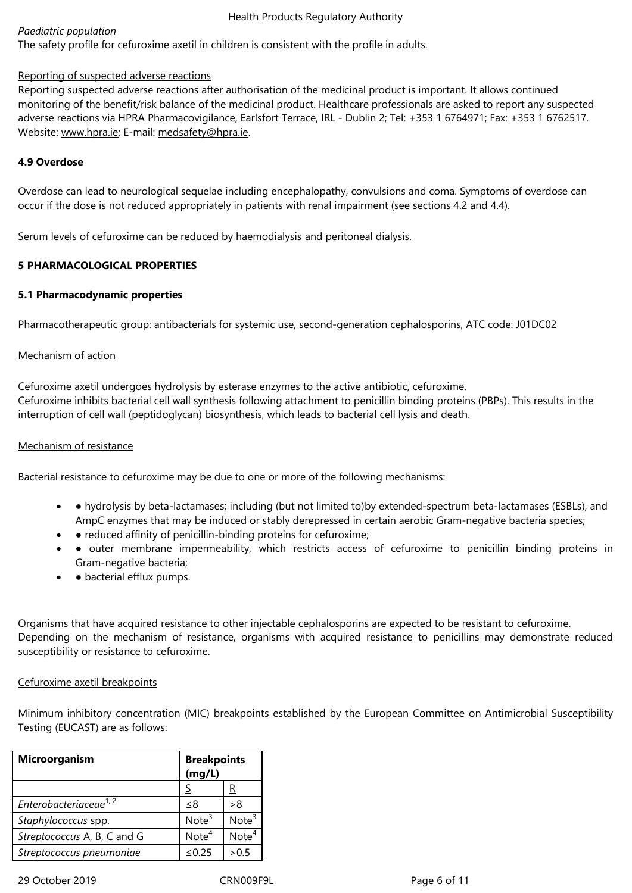## Reporting of suspected adverse reactions

Reporting suspected adverse reactions after authorisation of the medicinal product is important. It allows continued monitoring of the benefit/risk balance of the medicinal product. Healthcare professionals are asked to report any suspected adverse reactions via HPRA Pharmacovigilance, Earlsfort Terrace, IRL - Dublin 2; Tel: +353 1 6764971; Fax: +353 1 6762517. Website: www.hpra.ie; E-mail: medsafety@hpra.ie.

#### **4.9 Overdose**

Overdos[e can lead to](http://www.hpra.ie/) neurolo[gical sequelae includ](mailto:medsafety@hpra.ie)ing encephalopathy, convulsions and coma. Symptoms of overdose can occur if the dose is not reduced appropriately in patients with renal impairment (see sections 4.2 and 4.4).

Serum levels of cefuroxime can be reduced by haemodialysis and peritoneal dialysis.

## **5 PHARMACOLOGICAL PROPERTIES**

## **5.1 Pharmacodynamic properties**

Pharmacotherapeutic group: antibacterials for systemic use, second-generation cephalosporins, ATC code: J01DC02

#### Mechanism of action

Cefuroxime axetil undergoes hydrolysis by esterase enzymes to the active antibiotic, cefuroxime. Cefuroxime inhibits bacterial cell wall synthesis following attachment to penicillin binding proteins (PBPs). This results in the interruption of cell wall (peptidoglycan) biosynthesis, which leads to bacterial cell lysis and death.

## Mechanism of resistance

Bacterial resistance to cefuroxime may be due to one or more of the following mechanisms:

- hydrolysis by beta-lactamases; including (but not limited to)by extended-spectrum beta-lactamases (ESBLs), and AmpC enzymes that may be induced or stably derepressed in certain aerobic Gram-negative bacteria species;
- • reduced affinity of penicillin-binding proteins for cefuroxime;
- outer membrane impermeability, which restricts access of cefuroxime to penicillin binding proteins in Gram-negative bacteria;
- • bacterial efflux pumps.

Organisms that have acquired resistance to other injectable cephalosporins are expected to be resistant to cefuroxime. Depending on the mechanism of resistance, organisms with acquired resistance to penicillins may demonstrate reduced susceptibility or resistance to cefuroxime.

#### Cefuroxime axetil breakpoints

Minimum inhibitory concentration (MIC) breakpoints established by the European Committee on Antimicrobial Susceptibility Testing (EUCAST) are as follows:

| Microorganism                      | <b>Breakpoints</b><br>(mg/L) |                   |
|------------------------------------|------------------------------|-------------------|
|                                    |                              | R                 |
| Enterobacteriaceae <sup>1, 2</sup> | -8                           | >8                |
| Staphylococcus spp.                | Note <sup>3</sup>            | Note <sup>3</sup> |
| Streptococcus A, B, C and G        | Note <sup>4</sup>            | Note <sup>4</sup> |
| Streptococcus pneumoniae           | ≤ $0.25$                     | > 0.5             |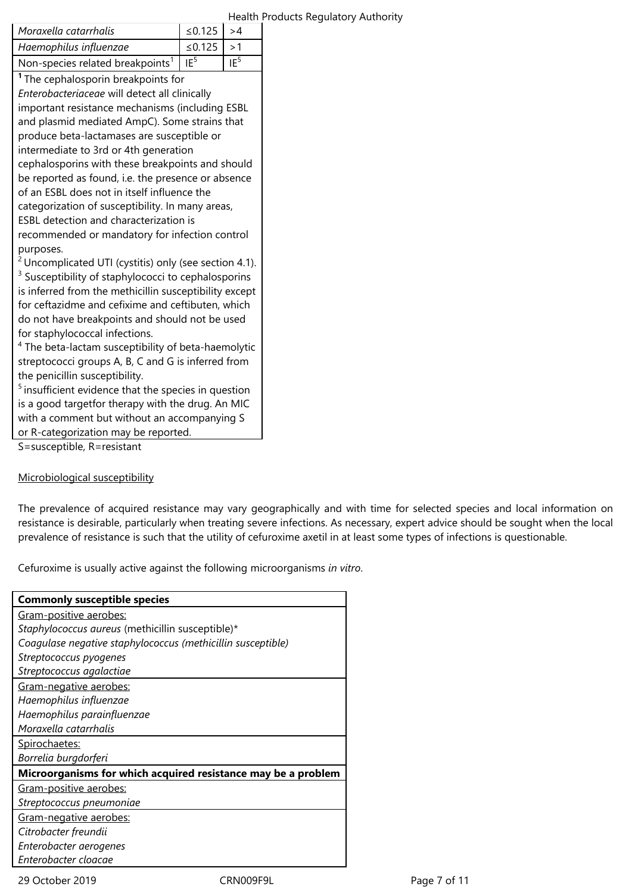|                                                |                                                                                                                                                                              | Health Products                                                                                                                                                                                                                                                                                                                                                                                                                                                                                                                                                                                                                                                                                                                                                                                                                                                                                                 |
|------------------------------------------------|------------------------------------------------------------------------------------------------------------------------------------------------------------------------------|-----------------------------------------------------------------------------------------------------------------------------------------------------------------------------------------------------------------------------------------------------------------------------------------------------------------------------------------------------------------------------------------------------------------------------------------------------------------------------------------------------------------------------------------------------------------------------------------------------------------------------------------------------------------------------------------------------------------------------------------------------------------------------------------------------------------------------------------------------------------------------------------------------------------|
| ≤0.125                                         | >4                                                                                                                                                                           |                                                                                                                                                                                                                                                                                                                                                                                                                                                                                                                                                                                                                                                                                                                                                                                                                                                                                                                 |
| ≤ $0.125$                                      | >1                                                                                                                                                                           |                                                                                                                                                                                                                                                                                                                                                                                                                                                                                                                                                                                                                                                                                                                                                                                                                                                                                                                 |
| IE <sup>5</sup>                                | IE <sup>5</sup>                                                                                                                                                              |                                                                                                                                                                                                                                                                                                                                                                                                                                                                                                                                                                                                                                                                                                                                                                                                                                                                                                                 |
| <sup>1</sup> The cephalosporin breakpoints for |                                                                                                                                                                              |                                                                                                                                                                                                                                                                                                                                                                                                                                                                                                                                                                                                                                                                                                                                                                                                                                                                                                                 |
| Enterobacteriaceae will detect all clinically  |                                                                                                                                                                              |                                                                                                                                                                                                                                                                                                                                                                                                                                                                                                                                                                                                                                                                                                                                                                                                                                                                                                                 |
|                                                |                                                                                                                                                                              |                                                                                                                                                                                                                                                                                                                                                                                                                                                                                                                                                                                                                                                                                                                                                                                                                                                                                                                 |
|                                                |                                                                                                                                                                              |                                                                                                                                                                                                                                                                                                                                                                                                                                                                                                                                                                                                                                                                                                                                                                                                                                                                                                                 |
|                                                |                                                                                                                                                                              |                                                                                                                                                                                                                                                                                                                                                                                                                                                                                                                                                                                                                                                                                                                                                                                                                                                                                                                 |
|                                                |                                                                                                                                                                              |                                                                                                                                                                                                                                                                                                                                                                                                                                                                                                                                                                                                                                                                                                                                                                                                                                                                                                                 |
|                                                |                                                                                                                                                                              |                                                                                                                                                                                                                                                                                                                                                                                                                                                                                                                                                                                                                                                                                                                                                                                                                                                                                                                 |
|                                                |                                                                                                                                                                              |                                                                                                                                                                                                                                                                                                                                                                                                                                                                                                                                                                                                                                                                                                                                                                                                                                                                                                                 |
|                                                |                                                                                                                                                                              |                                                                                                                                                                                                                                                                                                                                                                                                                                                                                                                                                                                                                                                                                                                                                                                                                                                                                                                 |
|                                                |                                                                                                                                                                              |                                                                                                                                                                                                                                                                                                                                                                                                                                                                                                                                                                                                                                                                                                                                                                                                                                                                                                                 |
|                                                |                                                                                                                                                                              |                                                                                                                                                                                                                                                                                                                                                                                                                                                                                                                                                                                                                                                                                                                                                                                                                                                                                                                 |
|                                                |                                                                                                                                                                              |                                                                                                                                                                                                                                                                                                                                                                                                                                                                                                                                                                                                                                                                                                                                                                                                                                                                                                                 |
|                                                |                                                                                                                                                                              |                                                                                                                                                                                                                                                                                                                                                                                                                                                                                                                                                                                                                                                                                                                                                                                                                                                                                                                 |
|                                                |                                                                                                                                                                              |                                                                                                                                                                                                                                                                                                                                                                                                                                                                                                                                                                                                                                                                                                                                                                                                                                                                                                                 |
|                                                |                                                                                                                                                                              |                                                                                                                                                                                                                                                                                                                                                                                                                                                                                                                                                                                                                                                                                                                                                                                                                                                                                                                 |
|                                                |                                                                                                                                                                              |                                                                                                                                                                                                                                                                                                                                                                                                                                                                                                                                                                                                                                                                                                                                                                                                                                                                                                                 |
|                                                |                                                                                                                                                                              |                                                                                                                                                                                                                                                                                                                                                                                                                                                                                                                                                                                                                                                                                                                                                                                                                                                                                                                 |
|                                                |                                                                                                                                                                              |                                                                                                                                                                                                                                                                                                                                                                                                                                                                                                                                                                                                                                                                                                                                                                                                                                                                                                                 |
|                                                |                                                                                                                                                                              |                                                                                                                                                                                                                                                                                                                                                                                                                                                                                                                                                                                                                                                                                                                                                                                                                                                                                                                 |
|                                                |                                                                                                                                                                              |                                                                                                                                                                                                                                                                                                                                                                                                                                                                                                                                                                                                                                                                                                                                                                                                                                                                                                                 |
|                                                |                                                                                                                                                                              |                                                                                                                                                                                                                                                                                                                                                                                                                                                                                                                                                                                                                                                                                                                                                                                                                                                                                                                 |
|                                                |                                                                                                                                                                              |                                                                                                                                                                                                                                                                                                                                                                                                                                                                                                                                                                                                                                                                                                                                                                                                                                                                                                                 |
|                                                |                                                                                                                                                                              |                                                                                                                                                                                                                                                                                                                                                                                                                                                                                                                                                                                                                                                                                                                                                                                                                                                                                                                 |
|                                                |                                                                                                                                                                              |                                                                                                                                                                                                                                                                                                                                                                                                                                                                                                                                                                                                                                                                                                                                                                                                                                                                                                                 |
| or R-categorization may be reported.           |                                                                                                                                                                              |                                                                                                                                                                                                                                                                                                                                                                                                                                                                                                                                                                                                                                                                                                                                                                                                                                                                                                                 |
|                                                |                                                                                                                                                                              |                                                                                                                                                                                                                                                                                                                                                                                                                                                                                                                                                                                                                                                                                                                                                                                                                                                                                                                 |
|                                                | produce beta-lactamases are susceptible or<br>intermediate to 3rd or 4th generation<br>of an ESBL does not in itself influence the<br>ESBL detection and characterization is | important resistance mechanisms (including ESBL<br>and plasmid mediated AmpC). Some strains that<br>cephalosporins with these breakpoints and should<br>be reported as found, i.e. the presence or absence<br>categorization of susceptibility. In many areas,<br>recommended or mandatory for infection control<br><sup>2</sup> Uncomplicated UTI (cystitis) only (see section 4.1).<br><sup>3</sup> Susceptibility of staphylococci to cephalosporins<br>is inferred from the methicillin susceptibility except<br>for ceftazidme and cefixime and ceftibuten, which<br>do not have breakpoints and should not be used<br><sup>4</sup> The beta-lactam susceptibility of beta-haemolytic<br>streptococci groups A, B, C and G is inferred from<br>$5$ insufficient evidence that the species in question<br>is a good targetfor therapy with the drug. An MIC<br>with a comment but without an accompanying S |

#### Microbiological susceptibility

The prevalence of acquired resistance may vary geographically and with time for selected species and local information on resistance is desirable, particularly when treating severe infections. As necessary, expert advice should be sought when the local prevalence of resistance is such that the utility of cefuroxime axetil in at least some types of infections is questionable.

Cefuroxime is usually active against the following microorganisms *in vitro*.

| <b>Commonly susceptible species</b>                           |
|---------------------------------------------------------------|
| Gram-positive aerobes:                                        |
| Staphylococcus aureus (methicillin susceptible)*              |
| Coagulase negative staphylococcus (methicillin susceptible)   |
| Streptococcus pyogenes                                        |
| Streptococcus agalactiae                                      |
| Gram-negative aerobes:                                        |
| Haemophilus influenzae                                        |
| Haemophilus parainfluenzae                                    |
| Moraxella catarrhalis                                         |
| Spirochaetes:                                                 |
| Borrelia burgdorferi                                          |
| Microorganisms for which acquired resistance may be a problem |
| Gram-positive aerobes:                                        |
| Streptococcus pneumoniae                                      |
| Gram-negative aerobes:                                        |
| Citrobacter freundii                                          |
| Enterobacter aerogenes                                        |
| Enterobacter cloacae                                          |

29 October 2019 CRN009F9L Page 7 of 11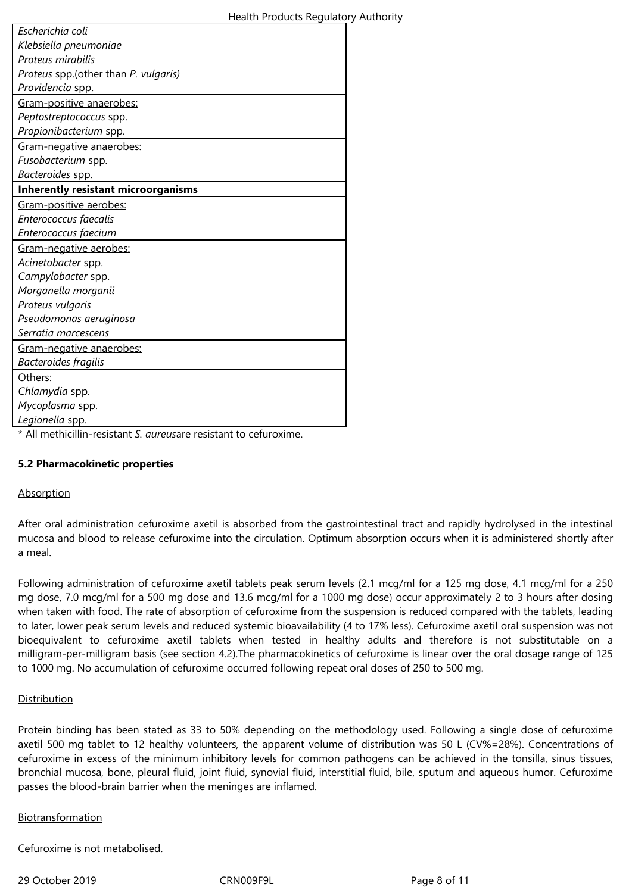| Health Products Regulatory Authority |  |  |  |  |
|--------------------------------------|--|--|--|--|
|--------------------------------------|--|--|--|--|

| Escherichia coli                                                                       |
|----------------------------------------------------------------------------------------|
| Klebsiella pneumoniae                                                                  |
| Proteus mirabilis                                                                      |
| Proteus spp.(other than P. vulgaris)                                                   |
| Providencia spp.                                                                       |
| Gram-positive anaerobes:                                                               |
| Peptostreptococcus spp.                                                                |
| Propionibacterium spp.                                                                 |
| Gram-negative anaerobes:                                                               |
| Fusobacterium spp.                                                                     |
| Bacteroides spp.                                                                       |
| <b>Inherently resistant microorganisms</b>                                             |
| Gram-positive aerobes:                                                                 |
| Enterococcus faecalis                                                                  |
| Enterococcus faecium                                                                   |
| Gram-negative aerobes:                                                                 |
| Acinetobacter spp.                                                                     |
| Campylobacter spp.                                                                     |
| Morganella morganii                                                                    |
| Proteus vulgaris                                                                       |
| Pseudomonas aeruginosa                                                                 |
| Serratia marcescens                                                                    |
| Gram-negative anaerobes:                                                               |
| <b>Bacteroides fragilis</b>                                                            |
| Others:                                                                                |
| Chlamydia spp.                                                                         |
| Mycoplasma spp.                                                                        |
| Legionella spp.                                                                        |
| data di tale<br>$*$ All regards in $\mathbb{R}^2$ and $\mathbb{R}^2$<br>$\mathbf{f}$ . |

\* All methicillin-resistant *S. aureus*are resistant to cefuroxime.

## **5.2 Pharmacokinetic properties**

#### **Absorption**

After oral administration cefuroxime axetil is absorbed from the gastrointestinal tract and rapidly hydrolysed in the intestinal mucosa and blood to release cefuroxime into the circulation. Optimum absorption occurs when it is administered shortly after a meal.

Following administration of cefuroxime axetil tablets peak serum levels (2.1 mcg/ml for a 125 mg dose, 4.1 mcg/ml for a 250 mg dose, 7.0 mcg/ml for a 500 mg dose and 13.6 mcg/ml for a 1000 mg dose) occur approximately 2 to 3 hours after dosing when taken with food. The rate of absorption of cefuroxime from the suspension is reduced compared with the tablets, leading to later, lower peak serum levels and reduced systemic bioavailability (4 to 17% less). Cefuroxime axetil oral suspension was not bioequivalent to cefuroxime axetil tablets when tested in healthy adults and therefore is not substitutable on a milligram-per-milligram basis (see section 4.2).The pharmacokinetics of cefuroxime is linear over the oral dosage range of 125 to 1000 mg. No accumulation of cefuroxime occurred following repeat oral doses of 250 to 500 mg.

#### **Distribution**

Protein binding has been stated as 33 to 50% depending on the methodology used. Following a single dose of cefuroxime axetil 500 mg tablet to 12 healthy volunteers, the apparent volume of distribution was 50 L (CV%=28%). Concentrations of cefuroxime in excess of the minimum inhibitory levels for common pathogens can be achieved in the tonsilla, sinus tissues, bronchial mucosa, bone, pleural fluid, joint fluid, synovial fluid, interstitial fluid, bile, sputum and aqueous humor. Cefuroxime passes the blood-brain barrier when the meninges are inflamed.

#### Biotransformation

Cefuroxime is not metabolised.

29 October 2019 CRN009F9L Page 8 of 11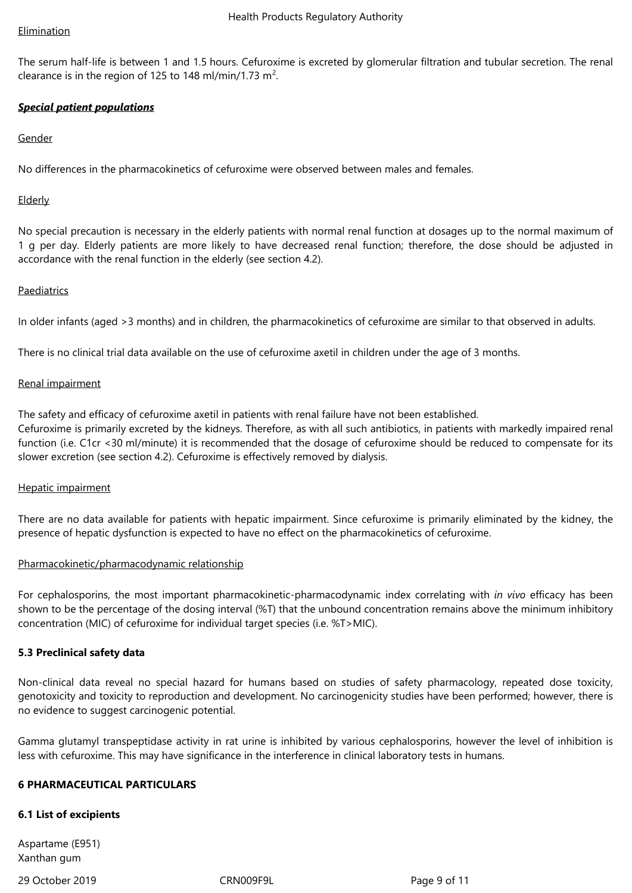#### Elimination

The serum half-life is between 1 and 1.5 hours. Cefuroxime is excreted by glomerular filtration and tubular secretion. The renal clearance is in the region of 125 to 148 ml/min/1.73 m<sup>2</sup>.

## *Special patient populations*

Gender

No differences in the pharmacokinetics of cefuroxime were observed between males and females.

## **Elderly**

No special precaution is necessary in the elderly patients with normal renal function at dosages up to the normal maximum of 1 g per day. Elderly patients are more likely to have decreased renal function; therefore, the dose should be adjusted in accordance with the renal function in the elderly (see section 4.2).

## **Paediatrics**

In older infants (aged >3 months) and in children, the pharmacokinetics of cefuroxime are similar to that observed in adults.

There is no clinical trial data available on the use of cefuroxime axetil in children under the age of 3 months.

#### Renal impairment

The safety and efficacy of cefuroxime axetil in patients with renal failure have not been established. Cefuroxime is primarily excreted by the kidneys. Therefore, as with all such antibiotics, in patients with markedly impaired renal function (i.e. C1cr <30 ml/minute) it is recommended that the dosage of cefuroxime should be reduced to compensate for its slower excretion (see section 4.2). Cefuroxime is effectively removed by dialysis.

#### Hepatic impairment

There are no data available for patients with hepatic impairment. Since cefuroxime is primarily eliminated by the kidney, the presence of hepatic dysfunction is expected to have no effect on the pharmacokinetics of cefuroxime.

#### Pharmacokinetic/pharmacodynamic relationship

For cephalosporins, the most important pharmacokinetic-pharmacodynamic index correlating with *in vivo* efficacy has been shown to be the percentage of the dosing interval (%T) that the unbound concentration remains above the minimum inhibitory concentration (MIC) of cefuroxime for individual target species (i.e. %T>MIC).

#### **5.3 Preclinical safety data**

Non-clinical data reveal no special hazard for humans based on studies of safety pharmacology, repeated dose toxicity, genotoxicity and toxicity to reproduction and development. No carcinogenicity studies have been performed; however, there is no evidence to suggest carcinogenic potential.

Gamma glutamyl transpeptidase activity in rat urine is inhibited by various cephalosporins, however the level of inhibition is less with cefuroxime. This may have significance in the interference in clinical laboratory tests in humans.

#### **6 PHARMACEUTICAL PARTICULARS**

#### **6.1 List of excipients**

Aspartame (E951) Xanthan gum

29 October 2019 CRN009F9L Page 9 of 11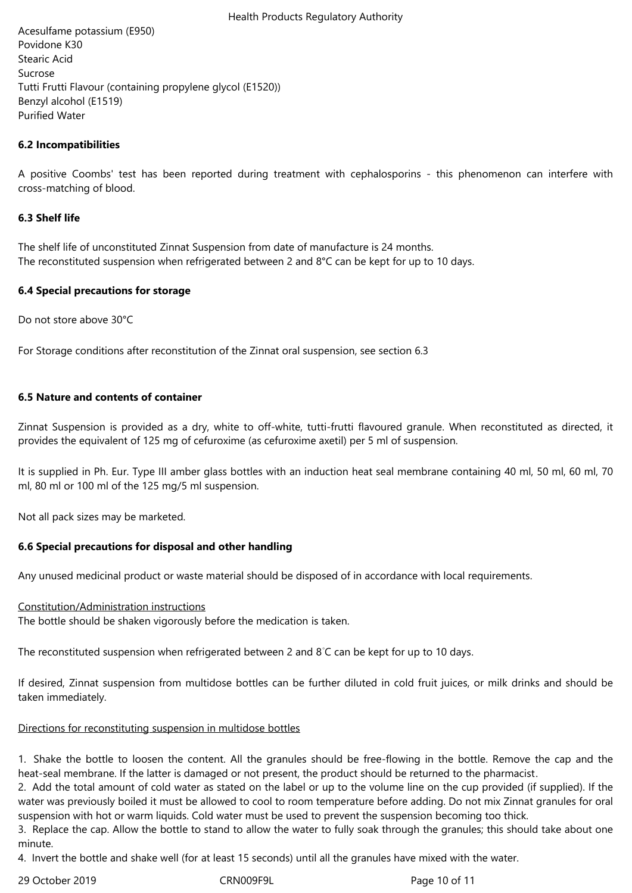Acesulfame potassium (E950) Povidone K30 Stearic Acid Sucrose Tutti Frutti Flavour (containing propylene glycol (E1520)) Benzyl alcohol (E1519) Purified Water

## **6.2 Incompatibilities**

A positive Coombs' test has been reported during treatment with cephalosporins - this phenomenon can interfere with cross-matching of blood.

#### **6.3 Shelf life**

The shelf life of unconstituted Zinnat Suspension from date of manufacture is 24 months. The reconstituted suspension when refrigerated between 2 and 8°C can be kept for up to 10 days.

#### **6.4 Special precautions for storage**

Do not store above 30°C

For Storage conditions after reconstitution of the Zinnat oral suspension, see section 6.3

#### **6.5 Nature and contents of container**

Zinnat Suspension is provided as a dry, white to off-white, tutti-frutti flavoured granule. When reconstituted as directed, it provides the equivalent of 125 mg of cefuroxime (as cefuroxime axetil) per 5 ml of suspension.

It is supplied in Ph. Eur. Type III amber glass bottles with an induction heat seal membrane containing 40 ml, 50 ml, 60 ml, 70 ml, 80 ml or 100 ml of the 125 mg/5 ml suspension.

Not all pack sizes may be marketed.

#### **6.6 Special precautions for disposal and other handling**

Any unused medicinal product or waste material should be disposed of in accordance with local requirements.

#### Constitution/Administration instructions

The bottle should be shaken vigorously before the medication is taken.

The reconstituted suspension when refrigerated between 2 and 8◦C can be kept for up to 10 days.

If desired, Zinnat suspension from multidose bottles can be further diluted in cold fruit juices, or milk drinks and should be taken immediately.

#### Directions for reconstituting suspension in multidose bottles

1. Shake the bottle to loosen the content. All the granules should be free-flowing in the bottle. Remove the cap and the heat-seal membrane. If the latter is damaged or not present, the product should be returned to the pharmacist.

2. Add the total amount of cold water as stated on the label or up to the volume line on the cup provided (if supplied). If the water was previously boiled it must be allowed to cool to room temperature before adding. Do not mix Zinnat granules for oral suspension with hot or warm liquids. Cold water must be used to prevent the suspension becoming too thick.

3. Replace the cap. Allow the bottle to stand to allow the water to fully soak through the granules; this should take about one minute.

4. Invert the bottle and shake well (for at least 15 seconds) until all the granules have mixed with the water.

29 October 2019 CRN009F9L Page 10 of 11